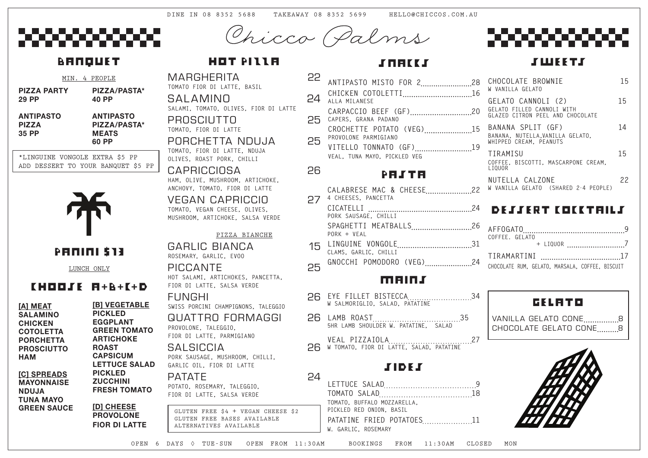MARGHERITA 22 **TOMATO FIOR DI LATTE, BASIL** 

SALAMINO 24 **SALAMI, TOMATO, OLIVES, FIOR DI LATTE** PROSCIUTTO 25

#### PORCHETTA NDUJA 25 **TOMATO, FIOR DI LATTE, NDUJA**

**TOMATO, FIOR DI LATTE**

**OLIVES, ROAST PORK, CHILLI**

GARLIC BIANCA 15 **ROSEMARY, GARLIC, EVOO**

CAPRICCIOSA 26 **HAM, OLIVE, MUSHROOM, ARTICHOKE, ANCHOVY, TOMATO, FIOR DI LATTE**

VEGAN CAPRICCIO 27 **TOMATO, VEGAN CHEESE, OLIVES, MUSHROOM, ARTICHOKE, SALSA VERDE**

## **SALSICCIA PORK SAUSAGE, MUSHROOM, CHILLI, GARLIC OIL, FIOR DI LATTE**

PATATE 24 **POTATO, ROSEMARY, TALEGGIO, FIOR DI LATTE, SALSA VERDE**

#### PIZZA BIANCHE

PICCANTE 25 **HOT SALAMI, ARTICHOKES, PANCETTA, FIOR DI LATTE, SALSA VERDE**

FUNGHI 26 **SWISS PORCINI CHAMPIGNONS, TALEGGIO**

QUAT TRO FORMAGGI 26 **PROVOLONE, TALEGGIO, FIOR DI LATTE, PARMIGIANO**

## MAINS

| 34 EYE FILLET BISTECCA34<br>W SALMORIGLIO, SALAD, PATATINE |  |
|------------------------------------------------------------|--|
| 5HR LAMB SHOULDER W. PATATINE, SALAD                       |  |
|                                                            |  |

26 W TOMATO, FIOR DI LATTE, SALAD, PATATINE

## **SIDES**

| 2<br>2        | ANTIPASTO MISTO FOR 228                                |
|---------------|--------------------------------------------------------|
| 4             | CHICKEN COTOLETTI16<br>ALLA MILANESE                   |
| $\bar{\circ}$ | CARPACCIO BEEF (GF)20<br>CAPERS, GRANA PADANO          |
|               | CROCHETTE POTATO (VEG)15<br>PROVOLONE PARMIGIANO       |
| 5             | VITELLO TONNATO (GF)19<br>VEAL, TUNA MAYO, PICKLED VEG |
|               | PAJTA                                                  |
| 7             | CALABRESE MAC & CHEESE22<br>4 CHEESES, PANCETTA        |
|               | PORK SAUSAGE, CHILLI                                   |
|               | SPAGHETTI MEATBALLS26<br>$PORK + VFAI$                 |
|               | 5 LINGUINE VONGOLE31                                   |
|               | CLAMS, GARLIC, CHILLI                                  |

| TOMATO, BUFFALO MOZZARELLA,<br>PICKLED RED ONION, BASIL |  |
|---------------------------------------------------------|--|
| PATATINE FRIED POTATOES11<br>W. GARLIC, ROSEMARY        |  |
|                                                         |  |

| CHOCOLATE BROWNIE<br>W VANILLA GELATO                                                | 15 |
|--------------------------------------------------------------------------------------|----|
| GELATO CANNOLI (2)<br>GELATO FILLED CANNOLI WITH<br>GLAZED CITRON PEEL AND CHOCOLATE | 15 |
| BANANA SPLIT (GF)<br>BANANA, NUTELLA, VANILLA GELATO,<br>WHIPPED CREAM, PEANUTS      | 14 |
| TIRAMISU<br>COFFEE, BISCOTTI, MASCARPONE CREAM,<br>LIQUOR                            | 15 |
| NUTELLA CALZONE<br>W VANILLA GELATO (SHARED 2-4 PEOPLE)                              | 22 |

## DE SSERT COCCTAILS

| COFFEE. GELATO                                  |  |  |  |
|-------------------------------------------------|--|--|--|
|                                                 |  |  |  |
|                                                 |  |  |  |
| CHOCOLATE RUM, GELATO, MARSALA, COFFEE, BISCUIT |  |  |  |

|                                                  | MIN. 4 PEOPLE |                                                           |              |
|--------------------------------------------------|---------------|-----------------------------------------------------------|--------------|
| <b>PIZZA PARTY</b><br><b>29 PP</b>               |               | PIZZA/PASTA*<br>40 PP                                     |              |
| <b>ANTIPASTO</b><br><b>PIZZA</b><br><b>35 PP</b> |               | <b>ANTIPASTO</b><br>PIZZA/PASTA*<br><b>MEATS</b><br>60 PP |              |
| *I TNCIITNE VONCOI E FYTRA                       |               |                                                           | <b>ぐና DD</b> |

LUNCH ONLY

## CHOOSE A**+**B**+**C**+**D

**[A] MEAT SALAMINO CHICKEN COTOLETTA PORCHETTA PROSCIUTTO HAM**

**[C] SPREADS MAYONNAISE NDUJA TUNA MAYO GREEN SAUCE** 

## HOT PILLA

\*LINGUINE VONGOLE EXTRA \$5 PP ADD DESSERT TO YOUR BANQUET \$5 PP



PANINI \$13

## GELATO

VANILLA GELATO CONE.................8 CHOCOLATE GELATO CONE .......... 8



OPEN 6 DAYS ◊ TUE-SUN OPEN FROM 11:30AM BOOKINGS FROM 11:30AM CLOSED MON

**S WEETS** 

Chicco Palms

## **BANQUET**

GLUTEN FREE \$4 + VEGAN CHEESE \$2 GLUTEN FREE BASES AVAILABLE ALTERNATIVES AVAILABLE

# STRIKS<sup>S</sup>